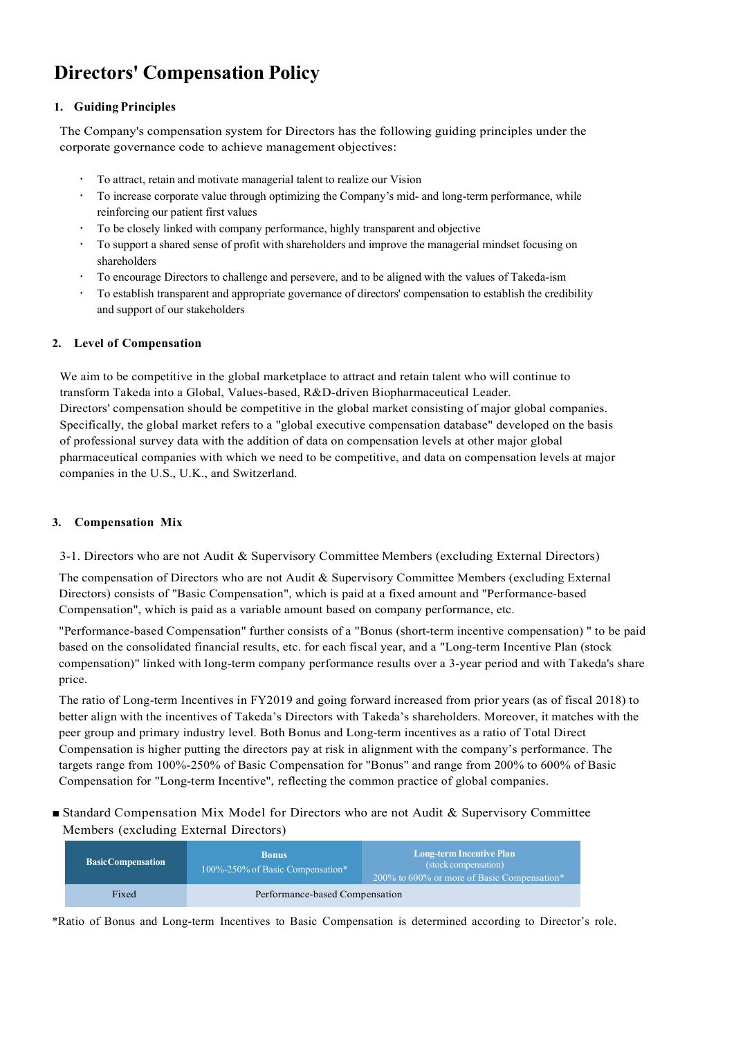# **Directors' Compensation Policy**

## **1. Guiding Principles**

The Company's compensation system for Directors has the following guiding principles under the corporate governance code to achieve management objectives:

- To attract, retain and motivate managerial talent to realize our Vision
- To increase corporate value through optimizing the Company's mid- and long-term performance, while reinforcing our patient first values
- To be closely linked with company performance, highly transparent and objective
- To support a shared sense of profit with shareholders and improve the managerial mindset focusing on shareholders
- To encourage Directors to challenge and persevere, and to be aligned with the values of Takeda-ism
- To establish transparent and appropriate governance of directors' compensation to establish the credibility and support of our stakeholders

# **2. Level of Compensation**

We aim to be competitive in the global marketplace to attract and retain talent who will continue to transform Takeda into a Global, Values-based, R&D-driven Biopharmaceutical Leader. Directors' compensation should be competitive in the global market consisting of major global companies. Specifically, the global market refers to a "global executive compensation database" developed on the basis of professional survey data with the addition of data on compensation levels at other major global pharmaceutical companies with which we need to be competitive, and data on compensation levels at major companies in the U.S., U.K., and Switzerland.

# **3. Compensation Mix**

3-1. Directors who are not Audit & Supervisory Committee Members (excluding External Directors)

The compensation of Directors who are not Audit & Supervisory Committee Members (excluding External Directors) consists of "Basic Compensation", which is paid at a fixed amount and "Performance-based Compensation", which is paid as a variable amount based on company performance, etc.

"Performance-based Compensation" further consists of a "Bonus (short-term incentive compensation) " to be paid based on the consolidated financial results, etc. for each fiscal year, and a "Long-term Incentive Plan (stock compensation)" linked with long-term company performance results over a 3-year period and with Takeda's share price.

The ratio of Long-term Incentives in FY2019 and going forward increased from prior years (as of fiscal 2018) to better align with the incentives of Takeda's Directors with Takeda's shareholders. Moreover, it matches with the peer group and primary industry level. Both Bonus and Long-term incentives as a ratio of Total Direct Compensation is higher putting the directors pay at risk in alignment with the company's performance. The targets range from 100%-250% of Basic Compensation for "Bonus" and range from 200% to 600% of Basic Compensation for "Long-term Incentive", reflecting the common practice of global companies.

■ Standard Compensation Mix Model for Directors who are not Audit & Supervisory Committee Members (excluding External Directors)

| <b>Basic Compensation</b> | <b>Bonus</b><br>$100\% - 250\%$ of Basic Compensation* | Long-term Incentive Plan<br>(stock compensation)<br>$1200\%$ to 600% or more of Basic Compensation* |
|---------------------------|--------------------------------------------------------|-----------------------------------------------------------------------------------------------------|
| Fixed                     | Performance-based Compensation                         |                                                                                                     |

\*Ratio of Bonus and Long-term Incentives to Basic Compensation is determined according to Director's role.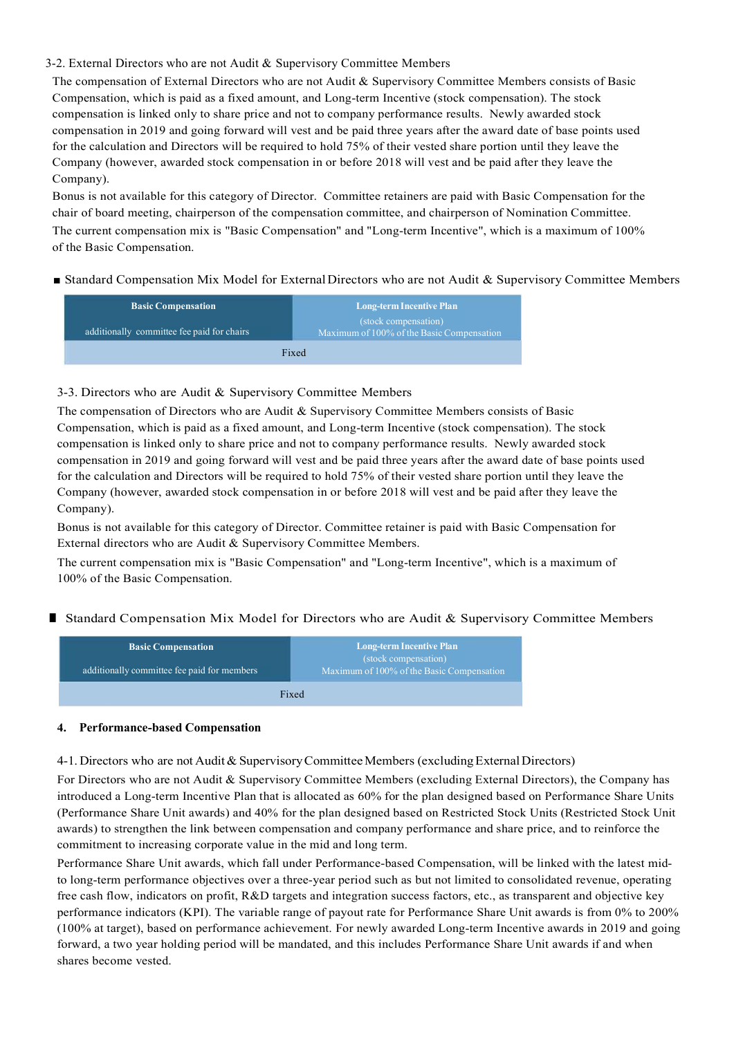## 3-2. External Directors who are not Audit & Supervisory Committee Members

The compensation of External Directors who are not Audit & Supervisory Committee Members consists of Basic Compensation, which is paid as a fixed amount, and Long-term Incentive (stock compensation). The stock compensation is linked only to share price and not to company performance results. Newly awarded stock compensation in 2019 and going forward will vest and be paid three years after the award date of base points used for the calculation and Directors will be required to hold 75% of their vested share portion until they leave the Company (however, awarded stock compensation in or before 2018 will vest and be paid after they leave the Company).

Bonus is not available for this category of Director. Committee retainers are paid with Basic Compensation for the chair of board meeting, chairperson of the compensation committee, and chairperson of Nomination Committee. The current compensation mix is "Basic Compensation" and "Long-term Incentive", which is a maximum of 100% of the Basic Compensation.

## ■ Standard Compensation Mix Model for External Directors who are not Audit & Supervisory Committee Members

| <b>Basic Compensation</b>                  | <b>Long-term Incentive Plan</b><br>(stock compensation)<br>Maximum of 100% of the Basic Compensation |  |  |
|--------------------------------------------|------------------------------------------------------------------------------------------------------|--|--|
| additionally committee fee paid for chairs |                                                                                                      |  |  |
|                                            | Fixed                                                                                                |  |  |

## 3-3. Directors who are Audit & Supervisory Committee Members

The compensation of Directors who are Audit & Supervisory Committee Members consists of Basic Compensation, which is paid as a fixed amount, and Long-term Incentive (stock compensation). The stock compensation is linked only to share price and not to company performance results. Newly awarded stock compensation in 2019 and going forward will vest and be paid three years after the award date of base points used for the calculation and Directors will be required to hold 75% of their vested share portion until they leave the Company (however, awarded stock compensation in or before 2018 will vest and be paid after they leave the Company).

Bonus is not available for this category of Director. Committee retainer is paid with Basic Compensation for External directors who are Audit & Supervisory Committee Members.

The current compensation mix is "Basic Compensation" and "Long-term Incentive", which is a maximum of 100% of the Basic Compensation.

## ■ Standard Compensation Mix Model for Directors who are Audit & Supervisory Committee Members

| <b>Basic Compensation</b><br>additionally committee fee paid for members | <b>Long-term Incentive Plan</b><br>(stock compensation)<br>Maximum of 100% of the Basic Compensation |  |  |
|--------------------------------------------------------------------------|------------------------------------------------------------------------------------------------------|--|--|
|                                                                          | Fixed                                                                                                |  |  |

## **4. Performance-based Compensation**

#### 4-1. Directors who are not Audit & Supervisory Committee Members (excluding External Directors)

For Directors who are not Audit & Supervisory Committee Members (excluding External Directors), the Company has introduced a Long-term Incentive Plan that is allocated as 60% for the plan designed based on Performance Share Units (Performance Share Unit awards) and 40% for the plan designed based on Restricted Stock Units (Restricted Stock Unit awards) to strengthen the link between compensation and company performance and share price, and to reinforce the commitment to increasing corporate value in the mid and long term.

Performance Share Unit awards, which fall under Performance-based Compensation, will be linked with the latest midto long-term performance objectives over a three-year period such as but not limited to consolidated revenue, operating free cash flow, indicators on profit, R&D targets and integration success factors, etc., as transparent and objective key performance indicators (KPI). The variable range of payout rate for Performance Share Unit awards is from 0% to 200% (100% at target), based on performance achievement. For newly awarded Long-term Incentive awards in 2019 and going forward, a two year holding period will be mandated, and this includes Performance Share Unit awards if and when shares become vested.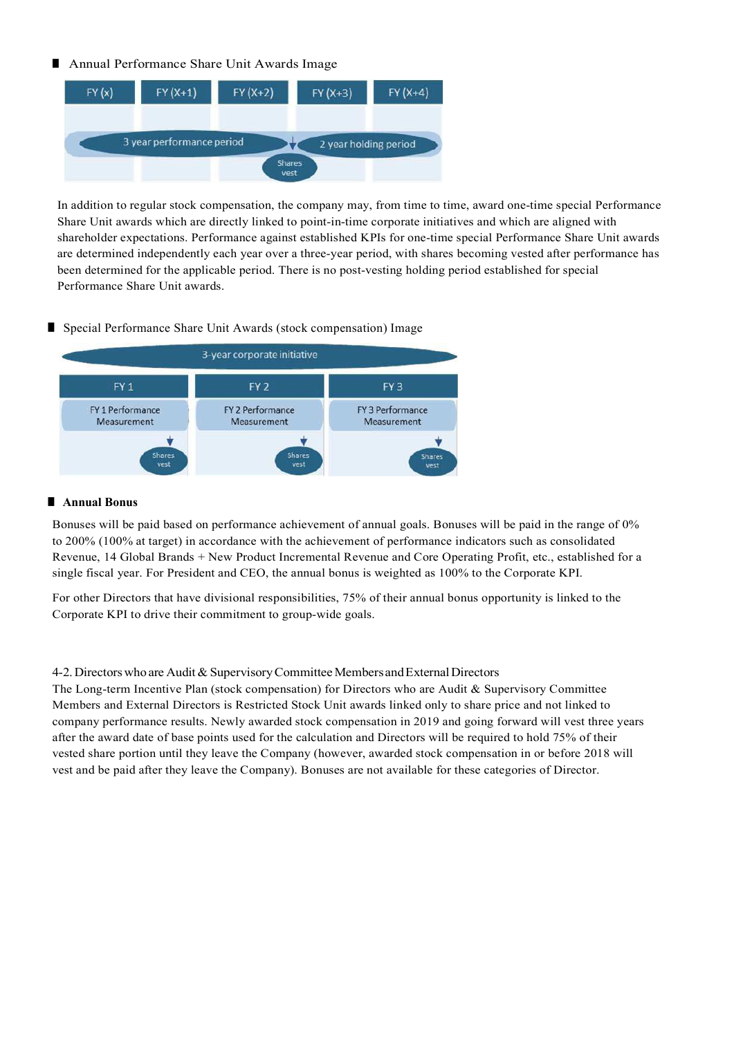# ■ Annual Performance Share Unit Awards Image



In addition to regular stock compensation, the company may, from time to time, award one-time special Performance Share Unit awards which are directly linked to point-in-time corporate initiatives and which are aligned with shareholder expectations. Performance against established KPIs for one-time special Performance Share Unit awards are determined independently each year over a three-year period, with shares becoming vested after performance has been determined for the applicable period. There is no post-vesting holding period established for special Performance Share Unit awards.

# ■ Special Performance Share Unit Awards (stock compensation) Image



## ■ **Annual Bonus**

Bonuses will be paid based on performance achievement of annual goals. Bonuses will be paid in the range of 0% to 200% (100% at target) in accordance with the achievement of performance indicators such as consolidated Revenue, 14 Global Brands + New Product Incremental Revenue and Core Operating Profit, etc., established for a single fiscal year. For President and CEO, the annual bonus is weighted as 100% to the Corporate KPI.

For other Directors that have divisional responsibilities, 75% of their annual bonus opportunity is linked to the Corporate KPI to drive their commitment to group-wide goals.

## 4-2. Directors who are Audit & Supervisory Committee Members and External Directors

The Long-term Incentive Plan (stock compensation) for Directors who are Audit & Supervisory Committee Members and External Directors is Restricted Stock Unit awards linked only to share price and not linked to company performance results. Newly awarded stock compensation in 2019 and going forward will vest three years after the award date of base points used for the calculation and Directors will be required to hold 75% of their vested share portion until they leave the Company (however, awarded stock compensation in or before 2018 will vest and be paid after they leave the Company). Bonuses are not available for these categories of Director.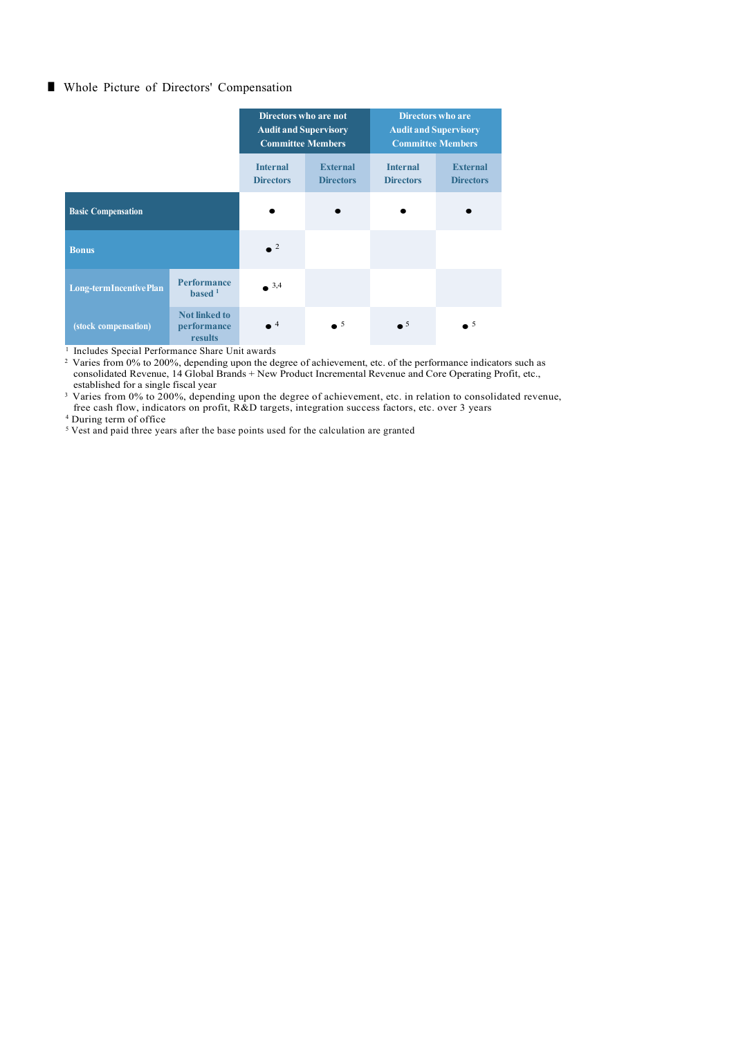## ■ Whole Picture of Directors' Compensation

|                           |                                                | Directors who are not<br><b>Audit and Supervisory</b><br><b>Committee Members</b> |                                     | <b>Directors who are</b><br><b>Audit and Supervisory</b><br><b>Committee Members</b> |                                     |
|---------------------------|------------------------------------------------|-----------------------------------------------------------------------------------|-------------------------------------|--------------------------------------------------------------------------------------|-------------------------------------|
|                           |                                                | <b>Internal</b><br><b>Directors</b>                                               | <b>External</b><br><b>Directors</b> | <b>Internal</b><br><b>Directors</b>                                                  | <b>External</b><br><b>Directors</b> |
| <b>Basic Compensation</b> |                                                |                                                                                   |                                     |                                                                                      |                                     |
| <b>Bonus</b>              |                                                | $\bullet$ <sup>2</sup>                                                            |                                     |                                                                                      |                                     |
| Long-term Incentive Plan  | <b>Performance</b><br>based <sup>1</sup>       | $^{\circ}$ 3,4                                                                    |                                     |                                                                                      |                                     |
| (stock compensation)      | <b>Not linked to</b><br>performance<br>results | $^4$                                                                              | $\bullet$ <sup>5</sup>              | $\overline{\phantom{0}}^5$                                                           | $\bullet$ 5                         |

<sup>1</sup> Includes Special Performance Share Unit awards

<sup>2</sup> Varies from 0% to 200%, depending upon the degree of achievement, etc. of the performance indicators such as consolidated Revenue, 14 Global Brands + New Product Incremental Revenue and Core Operating Profit, etc., established for a single fiscal year

<sup>3</sup> Varies from 0% to 200%, depending upon the degree of achievement, etc. in relation to consolidated revenue, free cash flow, indicators on profit, R&D targets, integration success factors, etc. over 3 years

4 During term of office

<sup>5</sup> Vest and paid three years after the base points used for the calculation are granted